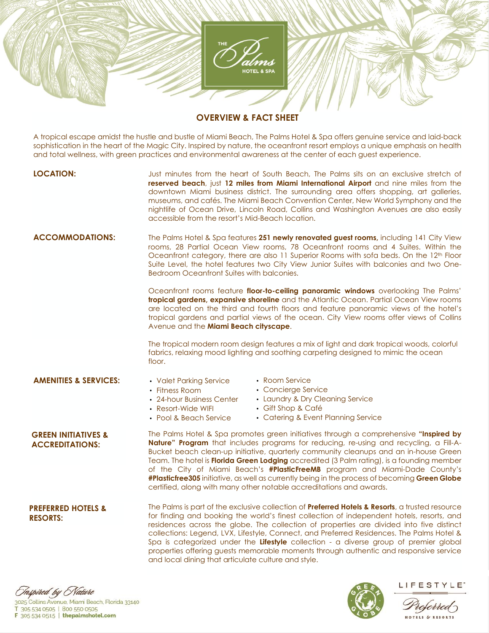

## **OVERVIEW & FACT SHEET**

A tropical escape amidst the hustle and bustle of Miami Beach, The Palms Hotel & Spa offers genuine service and laid-back sophistication in the heart of the Magic City. Inspired by nature, the oceanfront resort employs a unique emphasis on health and total wellness, with green practices and environmental awareness at the center of each guest experience.

- **LOCATION:** Just minutes from the heart of South Beach, The Palms sits on an exclusive stretch of **reserved beach**, just **12 miles from Miami International Airport** and nine miles from the downtown Miami business district. The surrounding area offers shopping, art galleries, museums, and cafés. The Miami Beach Convention Center, New World Symphony and the nightlife of Ocean Drive, Lincoln Road, Collins and Washington Avenues are also easily accessible from the resort's Mid-Beach location.
- **ACCOMMODATIONS:** The Palms Hotel & Spa features **251 newly renovated guest rooms,** including 141 City View rooms, 28 Partial Ocean View rooms, 78 Oceanfront rooms and 4 Suites. Within the Oceanfront category, there are also 11 Superior Rooms with sofa beds. On the 12th Floor Suite Level, the hotel features two City View Junior Suites with balconies and two One-Bedroom Oceanfront Suites with balconies.

Oceanfront rooms feature **floor-to-ceiling panoramic windows** overlooking The Palms' **tropical gardens, expansive shoreline** and the Atlantic Ocean. Partial Ocean View rooms are located on the third and fourth floors and feature panoramic views of the hotel's tropical gardens and partial views of the ocean. City View rooms offer views of Collins Avenue and the **Miami Beach cityscape**.

The tropical modern room design features a mix of light and dark tropical woods, colorful fabrics, relaxing mood lighting and soothing carpeting designed to mimic the ocean floor.

#### **AMENITIES & SERVICES:**

- Valet Parking Service
- Room Service
- Fitness Room
- Concierge Service
- 24-hour Business Center
- Laundry & Dry Cleaning Service
- Resort-Wide WIFI • Pool & Beach Service
- Gift Shop & Café • Catering & Event Planning Service
- The Palms Hotel & Spa promotes green initiatives through a comprehensive **"Inspired by Nature" Program** that includes programs for reducing, re-using and recycling, a Fill-A-Bucket beach clean-up initiative, quarterly community cleanups and an in-house Green Team. The hotel is **Florida Green Lodging** accredited (3 Palm rating), is a founding member of the City of Miami Beach's **#PlasticFreeMB** program and Miami-Dade County's **#Plasticfree305** initiative, as well as currently being in the process of becoming **Green Globe** certified, along with many other notable accreditations and awards. **GREEN INITIATIVES & ACCREDITATIONS:**
- The Palms is part of the exclusive collection of **Preferred Hotels & Resorts**, a trusted resource for finding and booking the world's finest collection of independent hotels, resorts, and residences across the globe. The collection of properties are divided into five distinct collections: Legend, LVX, Lifestyle, Connect, and Preferred Residences. The Palms Hotel & Spa is categorized under the **Lifestyle** collection - a diverse group of premier global properties offering guests memorable moments through authentic and responsive service and local dining that articulate culture and style. **PREFERRED HOTELS & RESORTS:**





LIFESTYLE<sup>®</sup>

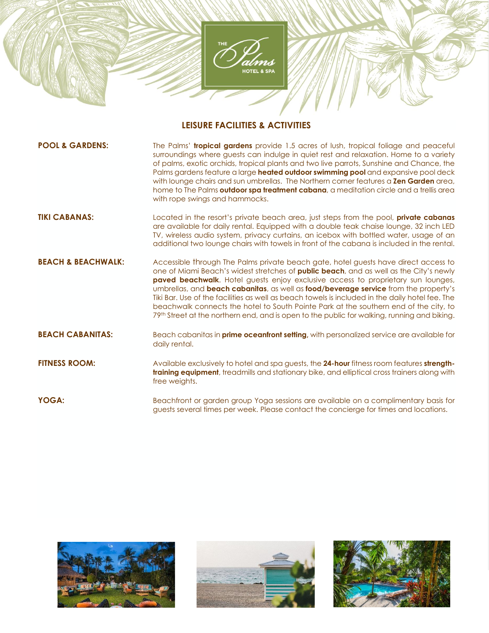

## **LEISURE FACILITIES & ACTIVITIES**

| <b>POOL &amp; GARDENS:</b>    | The Palms' <b>tropical gardens</b> provide 1.5 acres of lush, tropical foliage and peaceful<br>surroundings where guests can indulge in quiet rest and relaxation. Home to a variety<br>of palms, exotic orchids, tropical plants and two live parrots, Sunshine and Chance, the<br>Palms gardens feature a large heated outdoor swimming pool and expansive pool deck<br>with lounge chairs and sun umbrellas. The Northern corner features a <b>Zen Garden</b> area,<br>home to The Palms outdoor spa treatment cabana, a meditation circle and a trellis area<br>with rope swings and hammocks.                                                                          |
|-------------------------------|-----------------------------------------------------------------------------------------------------------------------------------------------------------------------------------------------------------------------------------------------------------------------------------------------------------------------------------------------------------------------------------------------------------------------------------------------------------------------------------------------------------------------------------------------------------------------------------------------------------------------------------------------------------------------------|
| <b>TIKI CABANAS:</b>          | Located in the resort's private beach area, just steps from the pool, private cabanas<br>are available for daily rental. Equipped with a double teak chaise lounge, 32 inch LED<br>TV, wireless audio system, privacy curtains, an icebox with bottled water, usage of an<br>additional two lounge chairs with towels in front of the cabana is included in the rental.                                                                                                                                                                                                                                                                                                     |
| <b>BEACH &amp; BEACHWALK:</b> | Accessible through The Palms private beach gate, hotel guests have direct access to<br>one of Miami Beach's widest stretches of <b>public beach</b> , and as well as the City's newly<br>paved beachwalk. Hotel guests enjoy exclusive access to proprietary sun lounges,<br>umbrellas, and <b>beach cabanitas</b> , as well as <b>food/beverage service</b> from the property's<br>Tiki Bar. Use of the facilities as well as beach towels is included in the daily hotel fee. The<br>beachwalk connects the hotel to South Pointe Park at the southern end of the city, to<br>79th Street at the northern end, and is open to the public for walking, running and biking. |
| <b>BEACH CABANITAS:</b>       | Beach cabanitas in <b>prime oceanfront setting</b> , with personalized service are available for<br>daily rental.                                                                                                                                                                                                                                                                                                                                                                                                                                                                                                                                                           |
| <b>FITNESS ROOM:</b>          | Available exclusively to hotel and spa guests, the 24-hour fitness room features strength-<br>training equipment, treadmills and stationary bike, and elliptical cross trainers along with<br>free weights.                                                                                                                                                                                                                                                                                                                                                                                                                                                                 |
| YOGA:                         | Beachfront or garden group Yoga sessions are available on a complimentary basis for<br>guests several times per week. Please contact the concierge for times and locations.                                                                                                                                                                                                                                                                                                                                                                                                                                                                                                 |





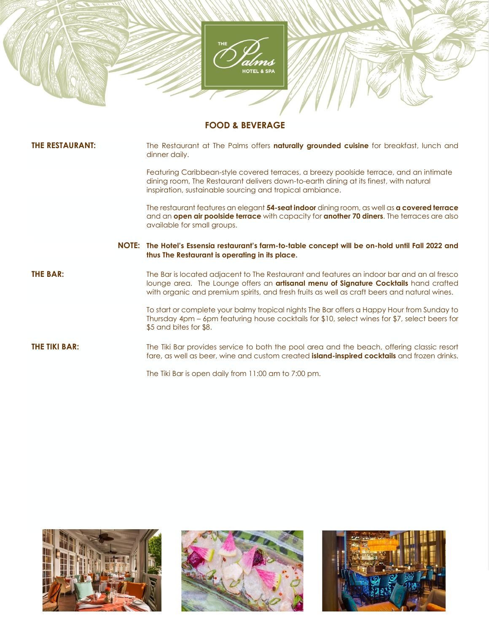

# **FOOD & BEVERAGE**

| <b>THE RESTAURANT:</b> | The Restaurant at The Palms offers naturally grounded cuisine for breakfast, lunch and<br>dinner daily.                                                                                                                                                                           |
|------------------------|-----------------------------------------------------------------------------------------------------------------------------------------------------------------------------------------------------------------------------------------------------------------------------------|
|                        | Featuring Caribbean-style covered terraces, a breezy poolside terrace, and an intimate<br>dining room, The Restaurant delivers down-to-earth dining at its finest, with natural<br>inspiration, sustainable sourcing and tropical ambiance.                                       |
|                        | The restaurant features an elegant 54-seat indoor dining room, as well as a covered terrace<br>and an open air poolside terrace with capacity for another 70 diners. The terraces are also<br>available for small groups.                                                         |
|                        | NOTE: The Hotel's Essensia restaurant's farm-to-table concept will be on-hold until Fall 2022 and<br>thus The Restaurant is operating in its place.                                                                                                                               |
| THE BAR:               | The Bar is located adjacent to The Restaurant and features an indoor bar and an al fresco<br>lounge area. The Lounge offers an artisanal menu of Signature Cocktails hand crafted<br>with organic and premium spirits, and fresh fruits as well as craft beers and natural wines. |
|                        | To start or complete your balmy tropical nights The Bar offers a Happy Hour from Sunday to<br>Thursday 4pm – 6pm featuring house cocktails for \$10, select wines for \$7, select beers for<br>\$5 and bites for \$8.                                                             |
| THE TIKI BAR:          | The Tiki Bar provides service to both the pool area and the beach, offering classic resort<br>fare, as well as beer, wine and custom created <i>island-inspired cocktails</i> and frozen drinks.                                                                                  |
|                        | The Tiki Bar is open daily from 11:00 am to 7:00 pm.                                                                                                                                                                                                                              |





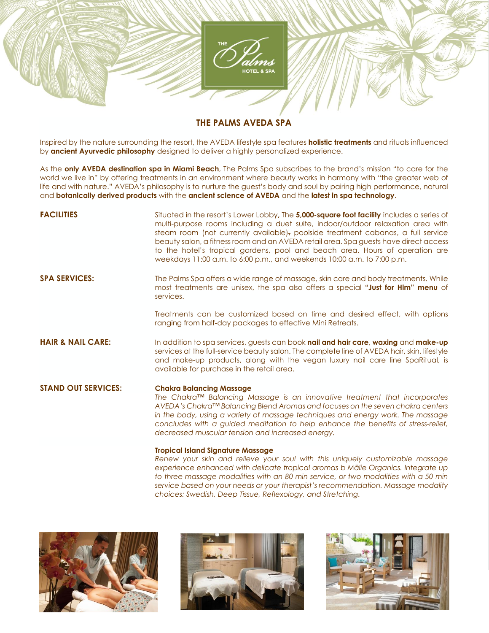

### **THE PALMS AVEDA SPA**

Inspired by the nature surrounding the resort, the AVEDA lifestyle spa features **holistic treatments** and rituals influenced by **ancient Ayurvedic philosophy** designed to deliver a highly personalized experience.

As the **only AVEDA destination spa in Miami Beach**, The Palms Spa subscribes to the brand's mission "to care for the world we live in" by offering treatments in an environment where beauty works in harmony with "the greater web of life and with nature." AVEDA's philosophy is to nurture the guest's body and soul by pairing high performance, natural and **botanically derived products** with the **ancient science of AVEDA** and the **latest in spa technology**.

| <b>FACILITIES</b>            | Situated in the resort's Lower Lobby, The 5,000-square foot facility includes a series of<br>multi-purpose rooms including a duet suite, indoor/outdoor relaxation area with<br>steam room (not currently available), poolside treatment cabanas, a full service<br>beauty salon, a fitness room and an AVEDA retail area. Spa guests have direct access<br>to the hotel's tropical gardens, pool and beach area. Hours of operation are<br>weekdays 11:00 a.m. to 6:00 p.m., and weekends 10:00 a.m. to 7:00 p.m. |
|------------------------------|--------------------------------------------------------------------------------------------------------------------------------------------------------------------------------------------------------------------------------------------------------------------------------------------------------------------------------------------------------------------------------------------------------------------------------------------------------------------------------------------------------------------|
| <b>SPA SERVICES:</b>         | The Palms Spa offers a wide range of massage, skin care and body treatments. While<br>most treatments are unisex, the spa also offers a special "Just for Him" menu of<br>services.                                                                                                                                                                                                                                                                                                                                |
|                              | Treatments can be customized based on time and desired effect, with options<br>ranging from half-day packages to effective Mini Retreats.                                                                                                                                                                                                                                                                                                                                                                          |
| <b>HAIR &amp; NAIL CARE:</b> | In addition to spa services, guests can book nail and hair care, waxing and make-up<br>services at the full-service beauty salon. The complete line of AVEDA hair, skin, lifestyle<br>and make-up products, along with the vegan luxury nail care line SpaRitual, is<br>available for purchase in the retail area.                                                                                                                                                                                                 |
| <b>STAND OUT SERVICES:</b>   | <b>Chakra Balancing Massage</b><br>The Chakra™ Balancing Massage is an innovative treatment that incorporates<br>AVEDA's Chakra™ Balancing Blend Aromas and focuses on the seven chakra centers<br>in the body, using a variety of massage techniques and energy work. The massage<br>concludes with a guided meditation to help enhance the benefits of stress-relief,<br>decreased muscular tension and increased energy.                                                                                        |
|                              | <b>Tropical Island Signature Massage</b><br>Renew your skin and relieve your soul with this uniquely customizable massage<br>experience onbanced with delicate tranical gromas b Malie Organics Integrate up                                                                                                                                                                                                                                                                                                       |

*experience enhanced with delicate tropical aromas b Mālie Organics. Integrate up to three massage modalities with an 80 min service, or two modalities with a 50 min service based on your needs or your therapist's recommendation. Massage modality choices: Swedish, Deep Tissue, Reflexology, and Stretching.*





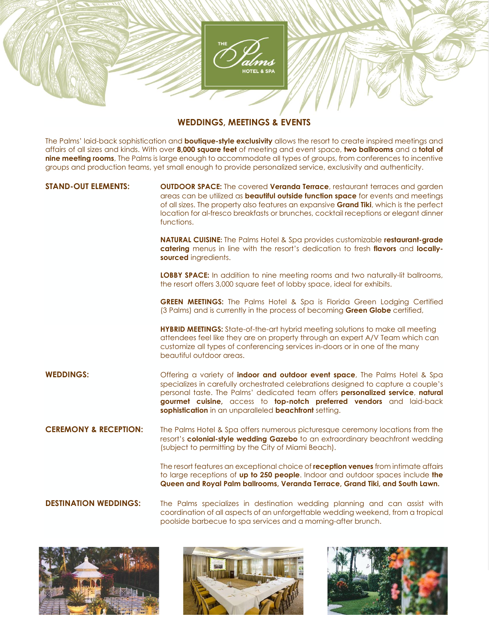

#### **WEDDINGS, MEETINGS & EVENTS**

The Palms' laid-back sophistication and **boutique-style exclusivity** allows the resort to create inspired meetings and affairs of all sizes and kinds. With over **8,000 square feet** of meeting and event space, **two ballrooms** and a **total of nine meeting rooms**, The Palms is large enough to accommodate all types of groups, from conferences to incentive groups and production teams, yet small enough to provide personalized service, exclusivity and authenticity.

**STAND-OUT ELEMENTS: OUTDOOR SPACE:** The covered **Veranda Terrace**, restaurant terraces and garden areas can be utilized as **beautiful outside function space** for events and meetings of all sizes. The property also features an expansive **Grand Tiki**, which is the perfect location for al-fresco breakfasts or brunches, cocktail receptions or elegant dinner functions.

> **NATURAL CUISINE:** The Palms Hotel & Spa provides customizable **restaurant-grade catering** menus in line with the resort's dedication to fresh **flavors** and **locallysourced** ingredients.

> **LOBBY SPACE:** In addition to nine meeting rooms and two naturally-lit ballrooms, the resort offers 3,000 square feet of lobby space, ideal for exhibits.

> **GREEN MEETINGS:** The Palms Hotel & Spa is Florida Green Lodging Certified (3 Palms) and is currently in the process of becoming **Green Globe** certified,

**HYBRID MEETINGS:** State-of-the-art hybrid meeting solutions to make all meeting attendees feel like they are on property through an expert A/V Team which can customize all types of conferencing services in-doors or in one of the many beautiful outdoor areas.

**WEDDINGS:** Offering a variety of **indoor and outdoor event space**, The Palms Hotel & Spa specializes in carefully orchestrated celebrations designed to capture a couple's personal taste. The Palms' dedicated team offers **personalized service**, **natural gourmet cuisine,** access to **top-notch preferred vendors** and laid-back **sophistication** in an unparalleled **beachfront** setting.

**CEREMONY & RECEPTION:** The Palms Hotel & Spa offers numerous picturesque ceremony locations from the resort's **colonial-style wedding Gazebo** to an extraordinary beachfront wedding (subject to permitting by the City of Miami Beach).

> The resort features an exceptional choice of **reception venues** from intimate affairs to large receptions of **up to 250 people**. Indoor and outdoor spaces include **the Queen and Royal Palm ballrooms, Veranda Terrace, Grand Tiki, and South Lawn.**

**DESTINATION WEDDINGS:** The Palms specializes in destination wedding planning and can assist with coordination of all aspects of an unforgettable wedding weekend, from a tropical poolside barbecue to spa services and a morning-after brunch.